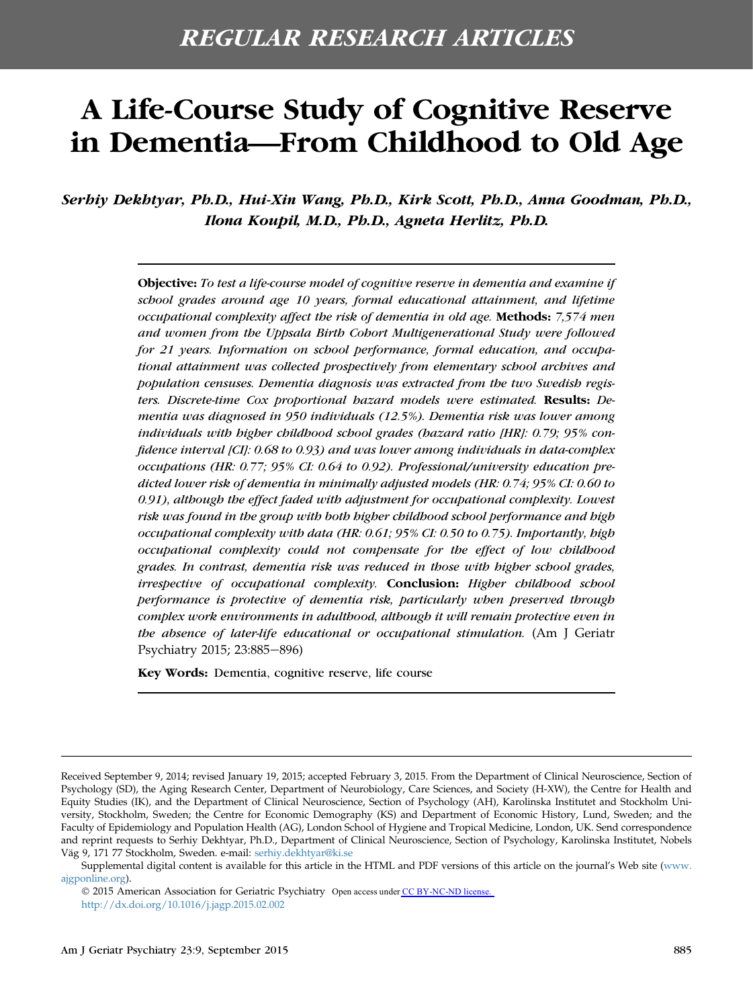# A Life-Course Study of Cognitive Reserve in Dementia—From Childhood to Old Age

Serhiy Dekhtyar, Ph.D., Hui-Xin Wang, Ph.D., Kirk Scott, Ph.D., Anna Goodman, Ph.D., Ilona Koupil, M.D., Ph.D., Agneta Herlitz, Ph.D.

> Objective: To test a life-course model of cognitive reserve in dementia and examine if school grades around age 10 years, formal educational attainment, and lifetime occupational complexity affect the risk of dementia in old age. Methods: 7,574 men and women from the Uppsala Birth Cohort Multigenerational Study were followed for 21 years. Information on school performance, formal education, and occupational attainment was collected prospectively from elementary school archives and population censuses. Dementia diagnosis was extracted from the two Swedish registers. Discrete-time Cox proportional hazard models were estimated. Results: Dementia was diagnosed in 950 individuals (12.5%). Dementia risk was lower among individuals with higher childhood school grades (hazard ratio [HR]: 0.79; 95% confidence interval [CI]: 0.68 to 0.93) and was lower among individuals in data-complex occupations (HR: 0.77; 95% CI: 0.64 to 0.92). Professional/university education predicted lower risk of dementia in minimally adjusted models (HR: 0.74; 95% CI: 0.60 to 0.91), although the effect faded with adjustment for occupational complexity. Lowest risk was found in the group with both higher childhood school performance and high occupational complexity with data (HR: 0.61; 95% CI: 0.50 to 0.75). Importantly, high occupational complexity could not compensate for the effect of low childhood grades. In contrast, dementia risk was reduced in those with higher school grades, irrespective of occupational complexity. Conclusion: Higher childhood school performance is protective of dementia risk, particularly when preserved through complex work environments in adulthood, although it will remain protective even in the absence of later-life educational or occupational stimulation. (Am J Geriatr Psychiatry 2015; 23:885–896)

Key Words: Dementia, cognitive reserve, life course

Received September 9, 2014; revised January 19, 2015; accepted February 3, 2015. From the Department of Clinical Neuroscience, Section of Psychology (SD), the Aging Research Center, Department of Neurobiology, Care Sciences, and Society (H-XW), the Centre for Health and Equity Studies (IK), and the Department of Clinical Neuroscience, Section of Psychology (AH), Karolinska Institutet and Stockholm University, Stockholm, Sweden; the Centre for Economic Demography (KS) and Department of Economic History, Lund, Sweden; and the Faculty of Epidemiology and Population Health (AG), London School of Hygiene and Tropical Medicine, London, UK. Send correspondence and reprint requests to Serhiy Dekhtyar, Ph.D., Department of Clinical Neuroscience, Section of Psychology, Karolinska Institutet, Nobels Väg 9, 171 77 Stockholm, Sweden. e-mail: [serhiy.dekhtyar@ki.se](mailto:serhiy.dekhtyar@ki.se)

Supplemental digital content is available for this article in the HTML and PDF versions of this article on the journal's Web site ([www.](http://www.ajgponline.org) [ajgponline.org\)](http://www.ajgponline.org).

2015 American Association for Geriatric Psychiatry Open access under [CC BY-NC-ND license.](http://creativecommons.org/licenses/by-nc-nd/4.0/)<http://dx.doi.org/10.1016/j.jagp.2015.02.002>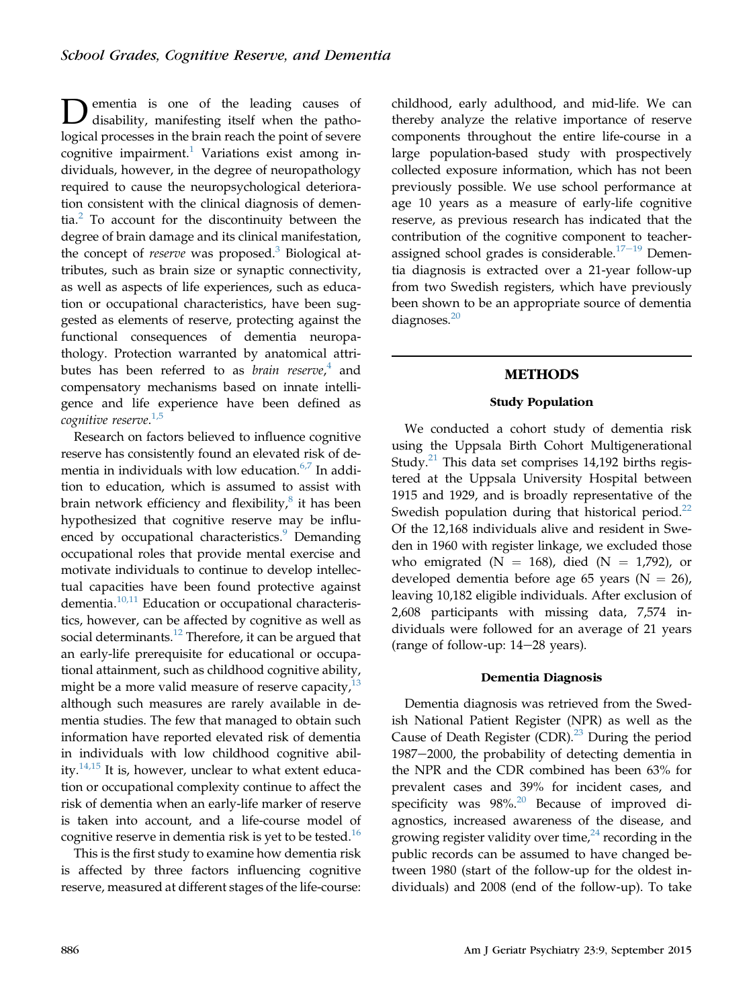Dementia is one of the leading causes of disability, manifesting itself when the pathological processes in the brain reach the point of severe cognitive impairment.<sup>1</sup> Variations exist among individuals, however, in the degree of neuropathology required to cause the neuropsychological deterioration consistent with the clinical diagnosis of dementia.[2](#page-10-0) To account for the discontinuity between the degree of brain damage and its clinical manifestation, the concept of *reserve* was proposed.<sup>[3](#page-10-0)</sup> Biological attributes, such as brain size or synaptic connectivity, as well as aspects of life experiences, such as education or occupational characteristics, have been suggested as elements of reserve, protecting against the functional consequences of dementia neuropathology. Protection warranted by anatomical attributes has been referred to as *brain reserve*,<sup>[4](#page-10-0)</sup> and compensatory mechanisms based on innate intelligence and life experience have been defined as cognitive reserve.<sup>[1,5](#page-10-0)</sup>

Research on factors believed to influence cognitive reserve has consistently found an elevated risk of dementia in individuals with low education. $6,7$  In addition to education, which is assumed to assist with brain network efficiency and flexibility, $\frac{8}{3}$  $\frac{8}{3}$  $\frac{8}{3}$  it has been hypothesized that cognitive reserve may be influ-enced by occupational characteristics.<sup>[9](#page-10-0)</sup> Demanding occupational roles that provide mental exercise and motivate individuals to continue to develop intellectual capacities have been found protective against dementia.[10,11](#page-10-0) Education or occupational characteristics, however, can be affected by cognitive as well as social determinants.<sup>[12](#page-10-0)</sup> Therefore, it can be argued that an early-life prerequisite for educational or occupational attainment, such as childhood cognitive ability, might be a more valid measure of reserve capacity, $^{13}$  $^{13}$  $^{13}$ although such measures are rarely available in dementia studies. The few that managed to obtain such information have reported elevated risk of dementia in individuals with low childhood cognitive ability. $14,15$  It is, however, unclear to what extent education or occupational complexity continue to affect the risk of dementia when an early-life marker of reserve is taken into account, and a life-course model of cognitive reserve in dementia risk is yet to be tested.<sup>[16](#page-10-0)</sup>

This is the first study to examine how dementia risk is affected by three factors influencing cognitive reserve, measured at different stages of the life-course: childhood, early adulthood, and mid-life. We can thereby analyze the relative importance of reserve components throughout the entire life-course in a large population-based study with prospectively collected exposure information, which has not been previously possible. We use school performance at age 10 years as a measure of early-life cognitive reserve, as previous research has indicated that the contribution of the cognitive component to teacher-assigned school grades is considerable.<sup>[17](#page-10-0)-[19](#page-10-0)</sup> Dementia diagnosis is extracted over a 21-year follow-up from two Swedish registers, which have previously been shown to be an appropriate source of dementia diagnoses.<sup>[20](#page-10-0)</sup>

# METHODS

# Study Population

We conducted a cohort study of dementia risk using the Uppsala Birth Cohort Multigenerational Study. $^{21}$  $^{21}$  $^{21}$  This data set comprises 14,192 births registered at the Uppsala University Hospital between 1915 and 1929, and is broadly representative of the Swedish population during that historical period. $^{22}$ Of the 12,168 individuals alive and resident in Sweden in 1960 with register linkage, we excluded those who emigrated (N = 168), died (N = 1,792), or developed dementia before age 65 years ( $N = 26$ ), leaving 10,182 eligible individuals. After exclusion of 2,608 participants with missing data, 7,574 individuals were followed for an average of 21 years (range of follow-up:  $14-28$  years).

## Dementia Diagnosis

Dementia diagnosis was retrieved from the Swedish National Patient Register (NPR) as well as the Cause of Death Register  $(CDR)^{23}$  $(CDR)^{23}$  $(CDR)^{23}$  During the period 1987-2000, the probability of detecting dementia in the NPR and the CDR combined has been 63% for prevalent cases and 39% for incident cases, and specificity was  $98\%$ <sup>[20](#page-10-0)</sup> Because of improved diagnostics, increased awareness of the disease, and growing register validity over time, $24$  recording in the public records can be assumed to have changed between 1980 (start of the follow-up for the oldest individuals) and 2008 (end of the follow-up). To take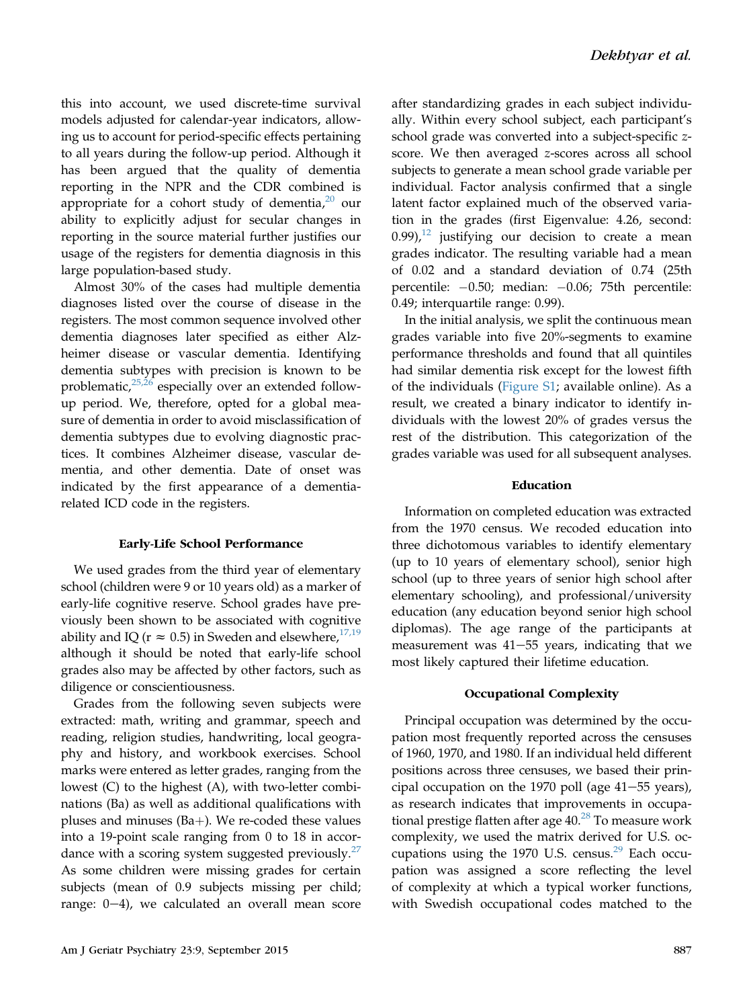this into account, we used discrete-time survival models adjusted for calendar-year indicators, allowing us to account for period-specific effects pertaining to all years during the follow-up period. Although it has been argued that the quality of dementia reporting in the NPR and the CDR combined is appropriate for a cohort study of dementia, $20$  our ability to explicitly adjust for secular changes in reporting in the source material further justifies our usage of the registers for dementia diagnosis in this large population-based study.

Almost 30% of the cases had multiple dementia diagnoses listed over the course of disease in the registers. The most common sequence involved other dementia diagnoses later specified as either Alzheimer disease or vascular dementia. Identifying dementia subtypes with precision is known to be problematic, $25,26$  especially over an extended followup period. We, therefore, opted for a global measure of dementia in order to avoid misclassification of dementia subtypes due to evolving diagnostic practices. It combines Alzheimer disease, vascular dementia, and other dementia. Date of onset was indicated by the first appearance of a dementiarelated ICD code in the registers.

## Early-Life School Performance

We used grades from the third year of elementary school (children were 9 or 10 years old) as a marker of early-life cognitive reserve. School grades have previously been shown to be associated with cognitive ability and IQ ( $r \approx 0.5$ ) in Sweden and elsewhere,<sup>[17,19](#page-10-0)</sup> although it should be noted that early-life school grades also may be affected by other factors, such as diligence or conscientiousness.

Grades from the following seven subjects were extracted: math, writing and grammar, speech and reading, religion studies, handwriting, local geography and history, and workbook exercises. School marks were entered as letter grades, ranging from the lowest (C) to the highest (A), with two-letter combinations (Ba) as well as additional qualifications with pluses and minuses  $(Ba+)$ . We re-coded these values into a 19-point scale ranging from 0 to 18 in accordance with a scoring system suggested previously. $27$ As some children were missing grades for certain subjects (mean of 0.9 subjects missing per child; range:  $0-4$ ), we calculated an overall mean score after standardizing grades in each subject individually. Within every school subject, each participant's school grade was converted into a subject-specific zscore. We then averaged z-scores across all school subjects to generate a mean school grade variable per individual. Factor analysis confirmed that a single latent factor explained much of the observed variation in the grades (first Eigenvalue: 4.26, second:  $(0.99)$ , <sup>[12](#page-10-0)</sup> justifying our decision to create a mean grades indicator. The resulting variable had a mean of 0.02 and a standard deviation of 0.74 (25th percentile: -0.50; median: -0.06; 75th percentile: 0.49; interquartile range: 0.99).

In the initial analysis, we split the continuous mean grades variable into five 20%-segments to examine performance thresholds and found that all quintiles had similar dementia risk except for the lowest fifth of the individuals (Figure S1; available online). As a result, we created a binary indicator to identify individuals with the lowest 20% of grades versus the rest of the distribution. This categorization of the grades variable was used for all subsequent analyses.

## Education

Information on completed education was extracted from the 1970 census. We recoded education into three dichotomous variables to identify elementary (up to 10 years of elementary school), senior high school (up to three years of senior high school after elementary schooling), and professional/university education (any education beyond senior high school diplomas). The age range of the participants at measurement was  $41-55$  years, indicating that we most likely captured their lifetime education.

## Occupational Complexity

Principal occupation was determined by the occupation most frequently reported across the censuses of 1960, 1970, and 1980. If an individual held different positions across three censuses, we based their principal occupation on the 1970 poll (age  $41-55$  years), as research indicates that improvements in occupational prestige flatten after age  $40.^{28}$  $40.^{28}$  $40.^{28}$  To measure work complexity, we used the matrix derived for U.S. occupations using the 1970 U.S. census. $29$  Each occupation was assigned a score reflecting the level of complexity at which a typical worker functions, with Swedish occupational codes matched to the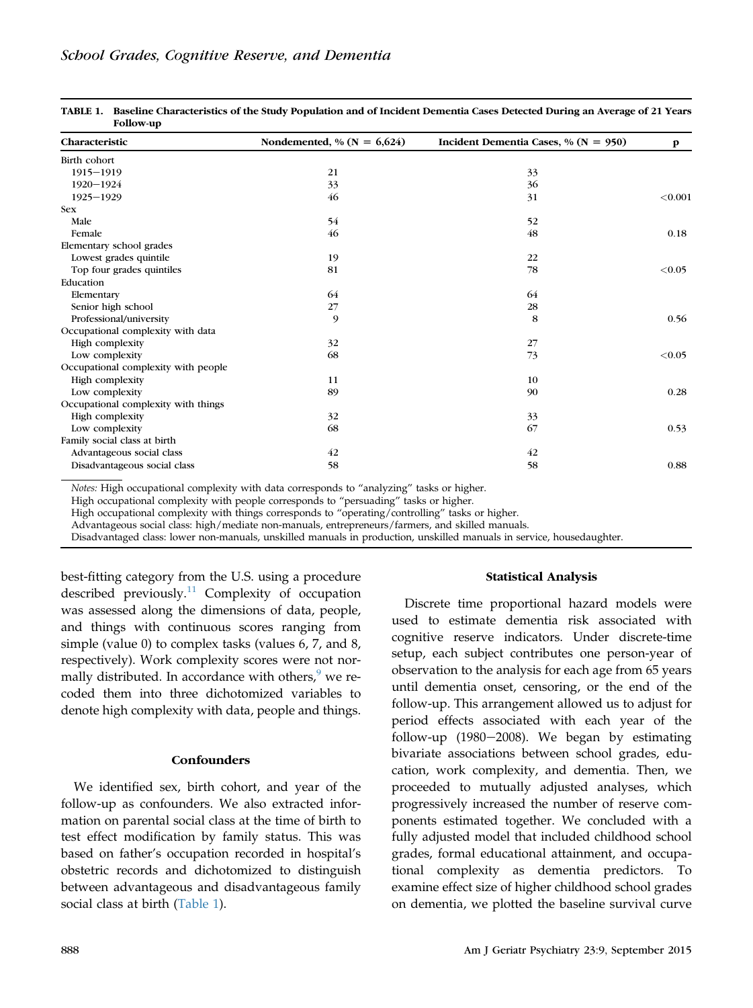| Characteristic                      | Nondemented, % ( $N = 6,624$ ) | Incident Dementia Cases, % ( $N = 950$ ) | $\mathbf{p}$ |
|-------------------------------------|--------------------------------|------------------------------------------|--------------|
| Birth cohort                        |                                |                                          |              |
| $1915 - 1919$                       | 21                             | 33                                       |              |
| 1920-1924                           | 33                             | 36                                       |              |
| $1925 - 1929$                       | 46                             | 31                                       | < 0.001      |
| <b>Sex</b>                          |                                |                                          |              |
| Male                                | 54                             | 52                                       |              |
| Female                              | 46                             | 48                                       | 0.18         |
| Elementary school grades            |                                |                                          |              |
| Lowest grades quintile              | 19                             | 22                                       |              |
| Top four grades quintiles           | 81                             | 78                                       | < 0.05       |
| Education                           |                                |                                          |              |
| Elementary                          | 64                             | 64                                       |              |
| Senior high school                  | 27                             | 28                                       |              |
| Professional/university             | 9                              | 8                                        | 0.56         |
| Occupational complexity with data   |                                |                                          |              |
| High complexity                     | 32                             | 27                                       |              |
| Low complexity                      | 68                             | 73                                       | < 0.05       |
| Occupational complexity with people |                                |                                          |              |
| High complexity                     | 11                             | 10                                       |              |
| Low complexity                      | 89                             | 90                                       | 0.28         |
| Occupational complexity with things |                                |                                          |              |
| High complexity                     | 32                             | 33                                       |              |
| Low complexity                      | 68                             | 67                                       | 0.53         |
| Family social class at birth        |                                |                                          |              |
| Advantageous social class           | 42                             | 42                                       |              |
| Disadvantageous social class        | 58                             | 58                                       | 0.88         |

TABLE 1. Baseline Characteristics of the Study Population and of Incident Dementia Cases Detected During an Average of 21 Years Follow-up

Notes: High occupational complexity with data corresponds to "analyzing" tasks or higher.

High occupational complexity with people corresponds to "persuading" tasks or higher.

High occupational complexity with things corresponds to "operating/controlling" tasks or higher.

Advantageous social class: high/mediate non-manuals, entrepreneurs/farmers, and skilled manuals.

Disadvantaged class: lower non-manuals, unskilled manuals in production, unskilled manuals in service, housedaughter.

best-fitting category from the U.S. using a procedure described previously.<sup>[11](#page-10-0)</sup> Complexity of occupation was assessed along the dimensions of data, people, and things with continuous scores ranging from simple (value 0) to complex tasks (values 6, 7, and 8, respectively). Work complexity scores were not normally distributed. In accordance with others, $9$  we recoded them into three dichotomized variables to denote high complexity with data, people and things.

## **Confounders**

We identified sex, birth cohort, and year of the follow-up as confounders. We also extracted information on parental social class at the time of birth to test effect modification by family status. This was based on father's occupation recorded in hospital's obstetric records and dichotomized to distinguish between advantageous and disadvantageous family social class at birth (Table 1).

#### Statistical Analysis

Discrete time proportional hazard models were used to estimate dementia risk associated with cognitive reserve indicators. Under discrete-time setup, each subject contributes one person-year of observation to the analysis for each age from 65 years until dementia onset, censoring, or the end of the follow-up. This arrangement allowed us to adjust for period effects associated with each year of the follow-up (1980 $-2008$ ). We began by estimating bivariate associations between school grades, education, work complexity, and dementia. Then, we proceeded to mutually adjusted analyses, which progressively increased the number of reserve components estimated together. We concluded with a fully adjusted model that included childhood school grades, formal educational attainment, and occupational complexity as dementia predictors. To examine effect size of higher childhood school grades on dementia, we plotted the baseline survival curve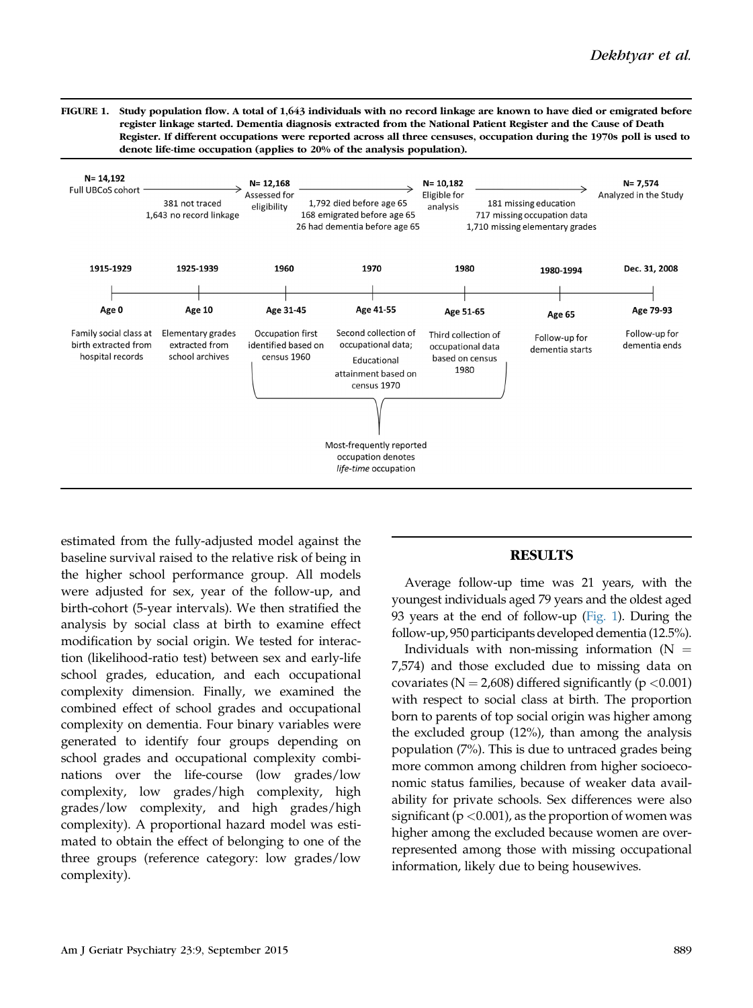FIGURE 1. Study population flow. A total of 1,643 individuals with no record linkage are known to have died or emigrated before register linkage started. Dementia diagnosis extracted from the National Patient Register and the Cause of Death Register. If different occupations were reported across all three censuses, occupation during the 1970s poll is used to denote life-time occupation (applies to 20% of the analysis population).



estimated from the fully-adjusted model against the baseline survival raised to the relative risk of being in the higher school performance group. All models were adjusted for sex, year of the follow-up, and birth-cohort (5-year intervals). We then stratified the analysis by social class at birth to examine effect modification by social origin. We tested for interaction (likelihood-ratio test) between sex and early-life school grades, education, and each occupational complexity dimension. Finally, we examined the combined effect of school grades and occupational complexity on dementia. Four binary variables were generated to identify four groups depending on school grades and occupational complexity combinations over the life-course (low grades/low complexity, low grades/high complexity, high grades/low complexity, and high grades/high complexity). A proportional hazard model was estimated to obtain the effect of belonging to one of the three groups (reference category: low grades/low complexity).

## **RESULTS**

Average follow-up time was 21 years, with the youngest individuals aged 79 years and the oldest aged 93 years at the end of follow-up (Fig. 1). During the follow-up, 950 participants developed dementia (12.5%).

Individuals with non-missing information  $(N =$ 7,574) and those excluded due to missing data on covariates ( $N = 2,608$ ) differed significantly ( $p < 0.001$ ) with respect to social class at birth. The proportion born to parents of top social origin was higher among the excluded group (12%), than among the analysis population (7%). This is due to untraced grades being more common among children from higher socioeconomic status families, because of weaker data availability for private schools. Sex differences were also significant ( $p < 0.001$ ), as the proportion of women was higher among the excluded because women are overrepresented among those with missing occupational information, likely due to being housewives.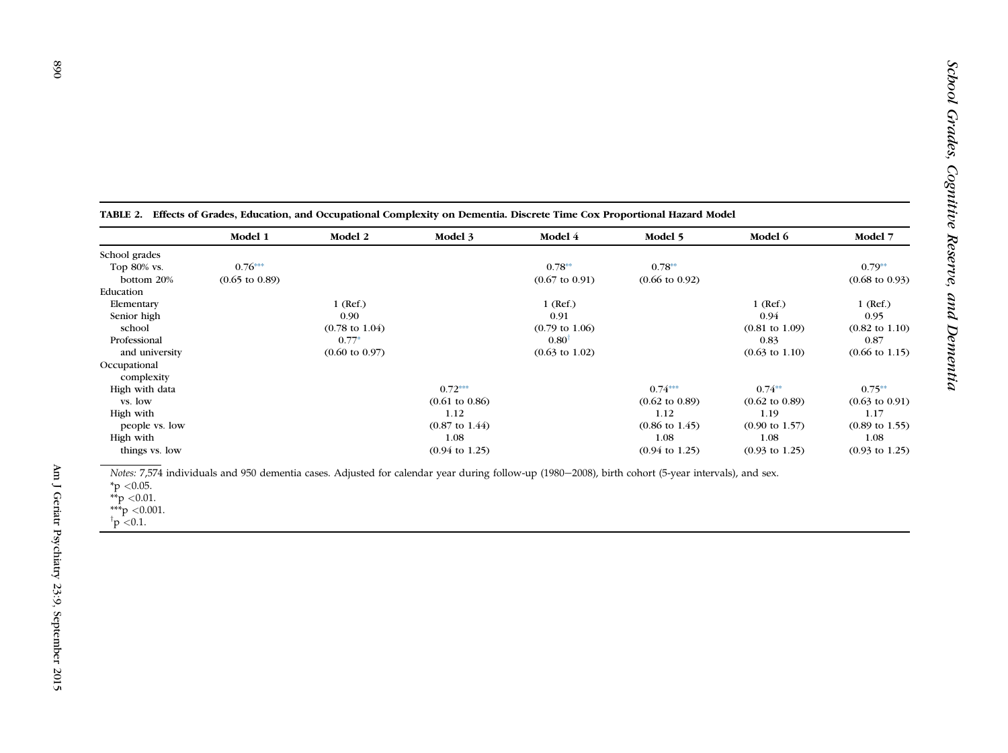|                | Model 1<br>Model 2        |                           | Model 3                   | Model 4                   | Model 5                   | Model 6                   | Model 7                   |
|----------------|---------------------------|---------------------------|---------------------------|---------------------------|---------------------------|---------------------------|---------------------------|
| School grades  |                           |                           |                           |                           |                           |                           |                           |
| Top 80% vs.    | $0.76***$                 |                           |                           | $0.78**$                  | $0.78**$                  |                           | $0.79**$                  |
| bottom 20%     | $(0.65 \text{ to } 0.89)$ |                           |                           | $(0.67 \text{ to } 0.91)$ | $(0.66 \text{ to } 0.92)$ |                           | $(0.68 \text{ to } 0.93)$ |
| Education      |                           |                           |                           |                           |                           |                           |                           |
| Elementary     |                           | $1$ (Ref.)                |                           | $1$ (Ref.)                |                           | $1$ (Ref.)                | $1$ (Ref.)                |
| Senior high    |                           | 0.90                      |                           | 0.91                      |                           | 0.94                      | 0.95                      |
| school         |                           | $(0.78 \text{ to } 1.04)$ |                           | $(0.79 \text{ to } 1.06)$ |                           | $(0.81 \text{ to } 1.09)$ | $(0.82 \text{ to } 1.10)$ |
| Professional   |                           | $0.77*$                   |                           | $0.80$ <sup>T</sup>       |                           | 0.83                      | 0.87                      |
| and university |                           | $(0.60 \text{ to } 0.97)$ |                           | $(0.63 \text{ to } 1.02)$ |                           | $(0.63 \text{ to } 1.10)$ | $(0.66 \text{ to } 1.15)$ |
| Occupational   |                           |                           |                           |                           |                           |                           |                           |
| complexity     |                           |                           |                           |                           |                           |                           |                           |
| High with data |                           |                           | $0.72***$                 |                           | $0.74***$                 | $0.74**$                  | $0.75**$                  |
| vs. low        |                           |                           | $(0.61 \text{ to } 0.86)$ |                           | $(0.62 \text{ to } 0.89)$ | $(0.62 \text{ to } 0.89)$ | $(0.63 \text{ to } 0.91)$ |
| High with      |                           |                           | 1.12                      |                           | 1.12                      | 1.19                      | 1.17                      |
| people vs. low |                           |                           | $(0.87 \text{ to } 1.44)$ |                           | $(0.86 \text{ to } 1.45)$ | $(0.90 \text{ to } 1.57)$ | $(0.89 \text{ to } 1.55)$ |
| High with      |                           |                           | 1.08                      |                           | 1.08                      | 1.08                      | 1.08                      |
| things vs. low |                           |                           | $(0.94 \text{ to } 1.25)$ |                           | $(0.94 \text{ to } 1.25)$ | $(0.93 \text{ to } 1.25)$ | $(0.93 \text{ to } 1.25)$ |

<span id="page-5-0"></span>

| TABLE 2. Effects of Grades, Education, and Occupational Complexity on Dementia. Discrete Time Cox Proportional Hazard Model |  |  |  |  |  |
|-----------------------------------------------------------------------------------------------------------------------------|--|--|--|--|--|
|                                                                                                                             |  |  |  |  |  |
|                                                                                                                             |  |  |  |  |  |
|                                                                                                                             |  |  |  |  |  |

Notes:7,574 individuals and 950 dementia cases. Adjusted for calendar year during follow-up (1980 <sup>e</sup>2008), birth cohort (5-year intervals), and sex.

\*\*\*p <0.001.<br><sup>†</sup>p <0.1.

 $^*\mathop{\rm p}\nolimits<$  0.05.

<sup>\*\*</sup>p <0.01.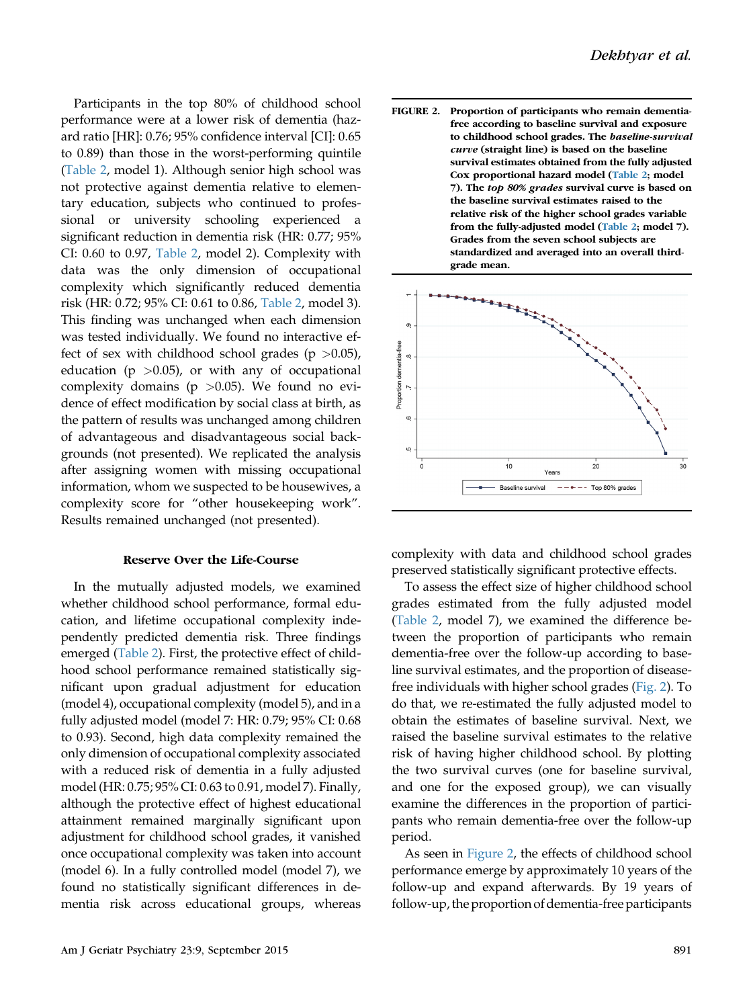Participants in the top 80% of childhood school performance were at a lower risk of dementia (hazard ratio [HR]: 0.76; 95% confidence interval [CI]: 0.65 to 0.89) than those in the worst-performing quintile ([Table 2,](#page-5-0) model 1). Although senior high school was not protective against dementia relative to elementary education, subjects who continued to professional or university schooling experienced a significant reduction in dementia risk (HR: 0.77; 95% CI: 0.60 to 0.97, [Table 2,](#page-5-0) model 2). Complexity with data was the only dimension of occupational complexity which significantly reduced dementia risk (HR: 0.72; 95% CI: 0.61 to 0.86, [Table 2](#page-5-0), model 3). This finding was unchanged when each dimension was tested individually. We found no interactive effect of sex with childhood school grades ( $p > 0.05$ ), education ( $p > 0.05$ ), or with any of occupational complexity domains ( $p > 0.05$ ). We found no evidence of effect modification by social class at birth, as the pattern of results was unchanged among children of advantageous and disadvantageous social backgrounds (not presented). We replicated the analysis after assigning women with missing occupational information, whom we suspected to be housewives, a complexity score for "other housekeeping work". Results remained unchanged (not presented).

## Reserve Over the Life-Course

In the mutually adjusted models, we examined whether childhood school performance, formal education, and lifetime occupational complexity independently predicted dementia risk. Three findings emerged [\(Table 2\)](#page-5-0). First, the protective effect of childhood school performance remained statistically significant upon gradual adjustment for education (model 4), occupational complexity (model 5), and in a fully adjusted model (model 7: HR: 0.79; 95% CI: 0.68 to 0.93). Second, high data complexity remained the only dimension of occupational complexity associated with a reduced risk of dementia in a fully adjusted model (HR: 0.75; 95% CI: 0.63 to 0.91, model 7). Finally, although the protective effect of highest educational attainment remained marginally significant upon adjustment for childhood school grades, it vanished once occupational complexity was taken into account (model 6). In a fully controlled model (model 7), we found no statistically significant differences in dementia risk across educational groups, whereas





complexity with data and childhood school grades preserved statistically significant protective effects.

To assess the effect size of higher childhood school grades estimated from the fully adjusted model ([Table 2,](#page-5-0) model 7), we examined the difference between the proportion of participants who remain dementia-free over the follow-up according to baseline survival estimates, and the proportion of diseasefree individuals with higher school grades (Fig. 2). To do that, we re-estimated the fully adjusted model to obtain the estimates of baseline survival. Next, we raised the baseline survival estimates to the relative risk of having higher childhood school. By plotting the two survival curves (one for baseline survival, and one for the exposed group), we can visually examine the differences in the proportion of participants who remain dementia-free over the follow-up period.

As seen in Figure 2, the effects of childhood school performance emerge by approximately 10 years of the follow-up and expand afterwards. By 19 years of follow-up, the proportion of dementia-free participants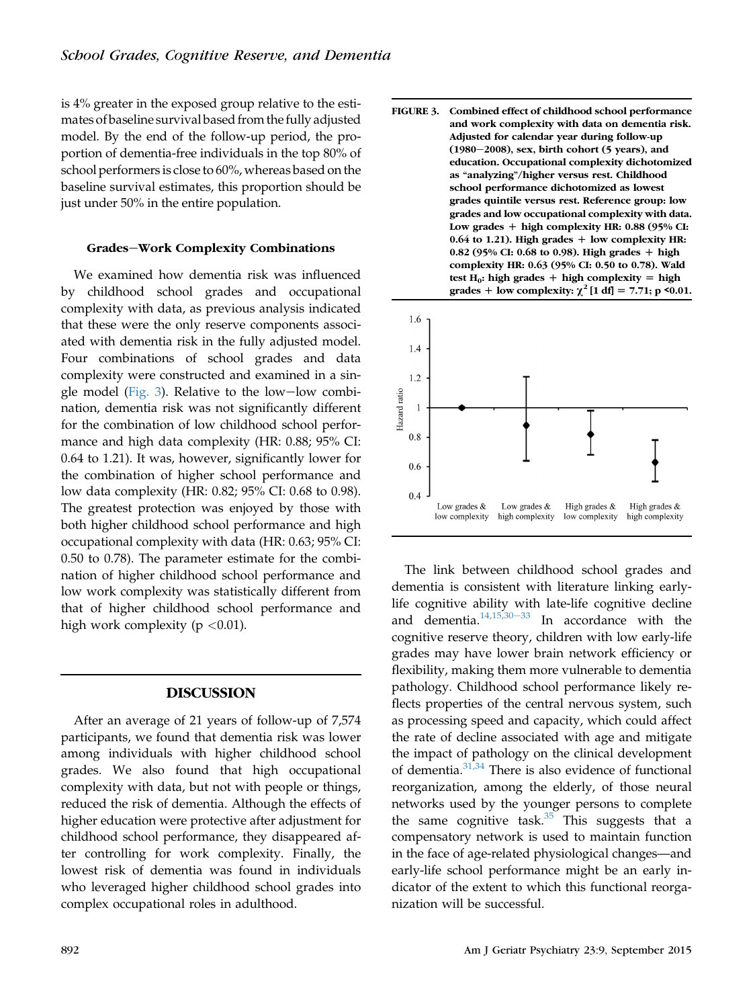is 4% greater in the exposed group relative to the estimates of baseline survival based from the fully adjusted model. By the end of the follow-up period, the proportion of dementia-free individuals in the top 80% of school performers is close to 60%, whereas based on the baseline survival estimates, this proportion should be just under 50% in the entire population.

## Grades-Work Complexity Combinations

We examined how dementia risk was influenced by childhood school grades and occupational complexity with data, as previous analysis indicated that these were the only reserve components associated with dementia risk in the fully adjusted model. Four combinations of school grades and data complexity were constructed and examined in a single model (Fig. 3). Relative to the low-low combination, dementia risk was not significantly different for the combination of low childhood school performance and high data complexity (HR: 0.88; 95% CI: 0.64 to 1.21). It was, however, significantly lower for the combination of higher school performance and low data complexity (HR: 0.82; 95% CI: 0.68 to 0.98). The greatest protection was enjoyed by those with both higher childhood school performance and high occupational complexity with data (HR: 0.63; 95% CI: 0.50 to 0.78). The parameter estimate for the combination of higher childhood school performance and low work complexity was statistically different from that of higher childhood school performance and high work complexity ( $p < 0.01$ ).

# DISCUSSION

After an average of 21 years of follow-up of 7,574 participants, we found that dementia risk was lower among individuals with higher childhood school grades. We also found that high occupational complexity with data, but not with people or things, reduced the risk of dementia. Although the effects of higher education were protective after adjustment for childhood school performance, they disappeared after controlling for work complexity. Finally, the lowest risk of dementia was found in individuals who leveraged higher childhood school grades into complex occupational roles in adulthood.

FIGURE 3. Combined effect of childhood school performance and work complexity with data on dementia risk. Adjusted for calendar year during follow-up  $(1980-2008)$ , sex, birth cohort (5 years), and education. Occupational complexity dichotomized as "analyzing"/higher versus rest. Childhood school performance dichotomized as lowest grades quintile versus rest. Reference group: low grades and low occupational complexity with data. Low grades  $+$  high complexity HR: 0.88 (95% CI:  $0.64$  to 1.21). High grades  $+$  low complexity HR: 0.82 (95% CI: 0.68 to 0.98). High grades  $+$  high complexity HR: 0.63 (95% CI: 0.50 to 0.78). Wald test  $H_0$ : high grades + high complexity = high grades + low complexity:  $\chi^2$  [1 df] = 7.71; p <0.01.



The link between childhood school grades and dementia is consistent with literature linking earlylife cognitive ability with late-life cognitive decline and dementia. $14,15,30-33$  $14,15,30-33$  $14,15,30-33$  In accordance with the cognitive reserve theory, children with low early-life grades may have lower brain network efficiency or flexibility, making them more vulnerable to dementia pathology. Childhood school performance likely reflects properties of the central nervous system, such as processing speed and capacity, which could affect the rate of decline associated with age and mitigate the impact of pathology on the clinical development of dementia. $31,34$  There is also evidence of functional reorganization, among the elderly, of those neural networks used by the younger persons to complete the same cognitive task. $35$  This suggests that a compensatory network is used to maintain function in the face of age-related physiological changes—and early-life school performance might be an early indicator of the extent to which this functional reorganization will be successful.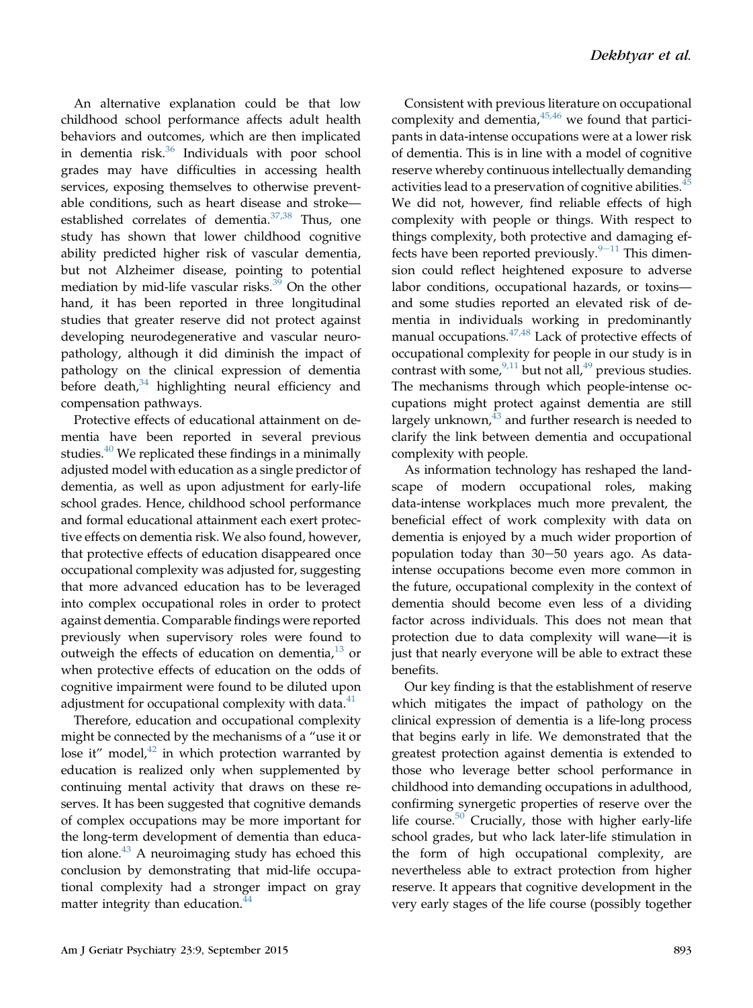An alternative explanation could be that low childhood school performance affects adult health behaviors and outcomes, which are then implicated in dementia risk.<sup>[36](#page-10-0)</sup> Individuals with poor school grades may have difficulties in accessing health services, exposing themselves to otherwise preventable conditions, such as heart disease and stroke established correlates of dementia. $37,38$  Thus, one study has shown that lower childhood cognitive ability predicted higher risk of vascular dementia, but not Alzheimer disease, pointing to potential mediation by mid-life vascular risks. $39$  On the other hand, it has been reported in three longitudinal studies that greater reserve did not protect against developing neurodegenerative and vascular neuropathology, although it did diminish the impact of pathology on the clinical expression of dementia before death, $34$  highlighting neural efficiency and compensation pathways.

Protective effects of educational attainment on dementia have been reported in several previous studies.<sup>[40](#page-11-0)</sup> We replicated these findings in a minimally adjusted model with education as a single predictor of dementia, as well as upon adjustment for early-life school grades. Hence, childhood school performance and formal educational attainment each exert protective effects on dementia risk. We also found, however, that protective effects of education disappeared once occupational complexity was adjusted for, suggesting that more advanced education has to be leveraged into complex occupational roles in order to protect against dementia. Comparable findings were reported previously when supervisory roles were found to outweigh the effects of education on dementia, $13$  or when protective effects of education on the odds of cognitive impairment were found to be diluted upon adjustment for occupational complexity with data.<sup>[41](#page-11-0)</sup>

Therefore, education and occupational complexity might be connected by the mechanisms of a "use it or lose it" model, $42$  in which protection warranted by education is realized only when supplemented by continuing mental activity that draws on these reserves. It has been suggested that cognitive demands of complex occupations may be more important for the long-term development of dementia than educa-tion alone.<sup>[43](#page-11-0)</sup> A neuroimaging study has echoed this conclusion by demonstrating that mid-life occupational complexity had a stronger impact on gray matter integrity than education.<sup>[44](#page-11-0)</sup>

Consistent with previous literature on occupational complexity and dementia, <sup>[45,46](#page-11-0)</sup> we found that participants in data-intense occupations were at a lower risk of dementia. This is in line with a model of cognitive reserve whereby continuous intellectually demanding activities lead to a preservation of cognitive abilities.<sup>4</sup> We did not, however, find reliable effects of high complexity with people or things. With respect to things complexity, both protective and damaging effects have been reported previously. $9-11$  $9-11$  $9-11$  This dimension could reflect heightened exposure to adverse labor conditions, occupational hazards, or toxins and some studies reported an elevated risk of dementia in individuals working in predominantly manual occupations. $47,48$  Lack of protective effects of occupational complexity for people in our study is in contrast with some,  $9,11$  but not all,  $49$  previous studies. The mechanisms through which people-intense occupations might protect against dementia are still largely unknown, $43$  and further research is needed to clarify the link between dementia and occupational complexity with people.

As information technology has reshaped the landscape of modern occupational roles, making data-intense workplaces much more prevalent, the beneficial effect of work complexity with data on dementia is enjoyed by a much wider proportion of population today than  $30-50$  years ago. As dataintense occupations become even more common in the future, occupational complexity in the context of dementia should become even less of a dividing factor across individuals. This does not mean that protection due to data complexity will wane—it is just that nearly everyone will be able to extract these benefits.

Our key finding is that the establishment of reserve which mitigates the impact of pathology on the clinical expression of dementia is a life-long process that begins early in life. We demonstrated that the greatest protection against dementia is extended to those who leverage better school performance in childhood into demanding occupations in adulthood, confirming synergetic properties of reserve over the life course.<sup>[50](#page-11-0)</sup> Crucially, those with higher early-life school grades, but who lack later-life stimulation in the form of high occupational complexity, are nevertheless able to extract protection from higher reserve. It appears that cognitive development in the very early stages of the life course (possibly together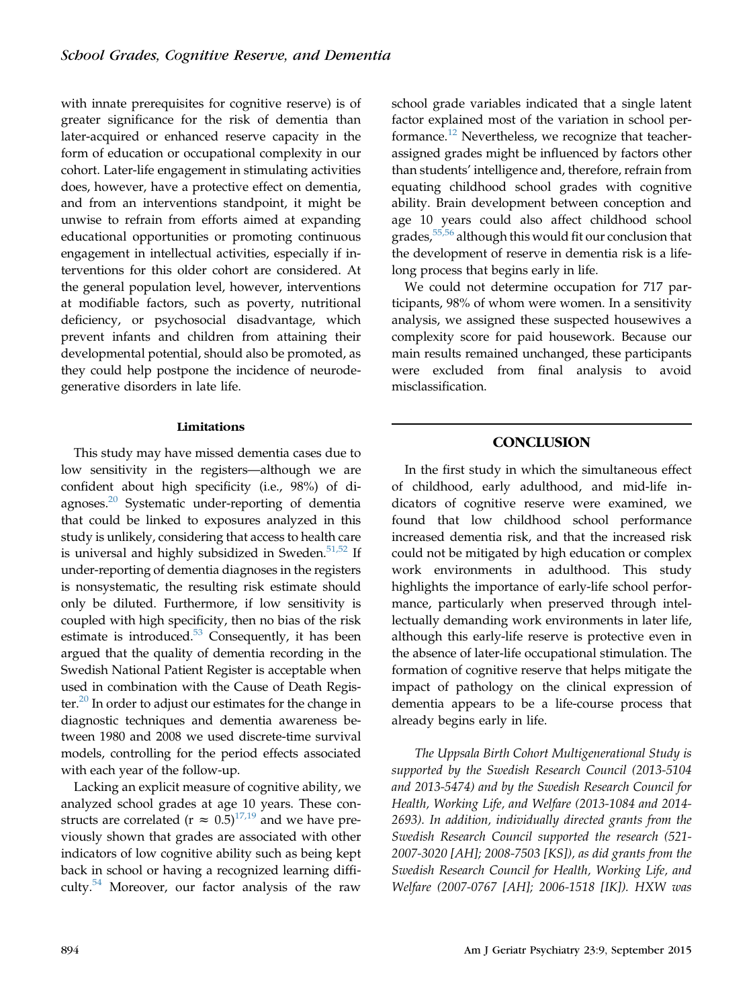with innate prerequisites for cognitive reserve) is of greater significance for the risk of dementia than later-acquired or enhanced reserve capacity in the form of education or occupational complexity in our cohort. Later-life engagement in stimulating activities does, however, have a protective effect on dementia, and from an interventions standpoint, it might be unwise to refrain from efforts aimed at expanding educational opportunities or promoting continuous engagement in intellectual activities, especially if interventions for this older cohort are considered. At the general population level, however, interventions at modifiable factors, such as poverty, nutritional deficiency, or psychosocial disadvantage, which prevent infants and children from attaining their developmental potential, should also be promoted, as they could help postpone the incidence of neurodegenerative disorders in late life.

### Limitations

This study may have missed dementia cases due to low sensitivity in the registers—although we are confident about high specificity (i.e., 98%) of diagnoses[.20](#page-10-0) Systematic under-reporting of dementia that could be linked to exposures analyzed in this study is unlikely, considering that access to health care is universal and highly subsidized in Sweden. $51,52$  If under-reporting of dementia diagnoses in the registers is nonsystematic, the resulting risk estimate should only be diluted. Furthermore, if low sensitivity is coupled with high specificity, then no bias of the risk estimate is introduced. $53$  Consequently, it has been argued that the quality of dementia recording in the Swedish National Patient Register is acceptable when used in combination with the Cause of Death Register. $^{20}$  In order to adjust our estimates for the change in diagnostic techniques and dementia awareness between 1980 and 2008 we used discrete-time survival models, controlling for the period effects associated with each year of the follow-up.

Lacking an explicit measure of cognitive ability, we analyzed school grades at age 10 years. These constructs are correlated ( $r \approx 0.5$ )<sup>[17,19](#page-10-0)</sup> and we have previously shown that grades are associated with other indicators of low cognitive ability such as being kept back in school or having a recognized learning difficulty.[54](#page-11-0) Moreover, our factor analysis of the raw

school grade variables indicated that a single latent factor explained most of the variation in school per-formance.<sup>[12](#page-10-0)</sup> Nevertheless, we recognize that teacherassigned grades might be influenced by factors other than students' intelligence and, therefore, refrain from equating childhood school grades with cognitive ability. Brain development between conception and age 10 years could also affect childhood school grades,<sup>[55,56](#page-11-0)</sup> although this would fit our conclusion that the development of reserve in dementia risk is a lifelong process that begins early in life.

We could not determine occupation for 717 participants, 98% of whom were women. In a sensitivity analysis, we assigned these suspected housewives a complexity score for paid housework. Because our main results remained unchanged, these participants were excluded from final analysis to avoid misclassification.

# **CONCLUSION**

In the first study in which the simultaneous effect of childhood, early adulthood, and mid-life indicators of cognitive reserve were examined, we found that low childhood school performance increased dementia risk, and that the increased risk could not be mitigated by high education or complex work environments in adulthood. This study highlights the importance of early-life school performance, particularly when preserved through intellectually demanding work environments in later life, although this early-life reserve is protective even in the absence of later-life occupational stimulation. The formation of cognitive reserve that helps mitigate the impact of pathology on the clinical expression of dementia appears to be a life-course process that already begins early in life.

The Uppsala Birth Cohort Multigenerational Study is supported by the Swedish Research Council (2013-5104 and 2013-5474) and by the Swedish Research Council for Health, Working Life, and Welfare (2013-1084 and 2014- 2693). In addition, individually directed grants from the Swedish Research Council supported the research (521- 2007-3020 [AH]; 2008-7503 [KS]), as did grants from the Swedish Research Council for Health, Working Life, and Welfare (2007-0767 [AH]; 2006-1518 [IK]). HXW was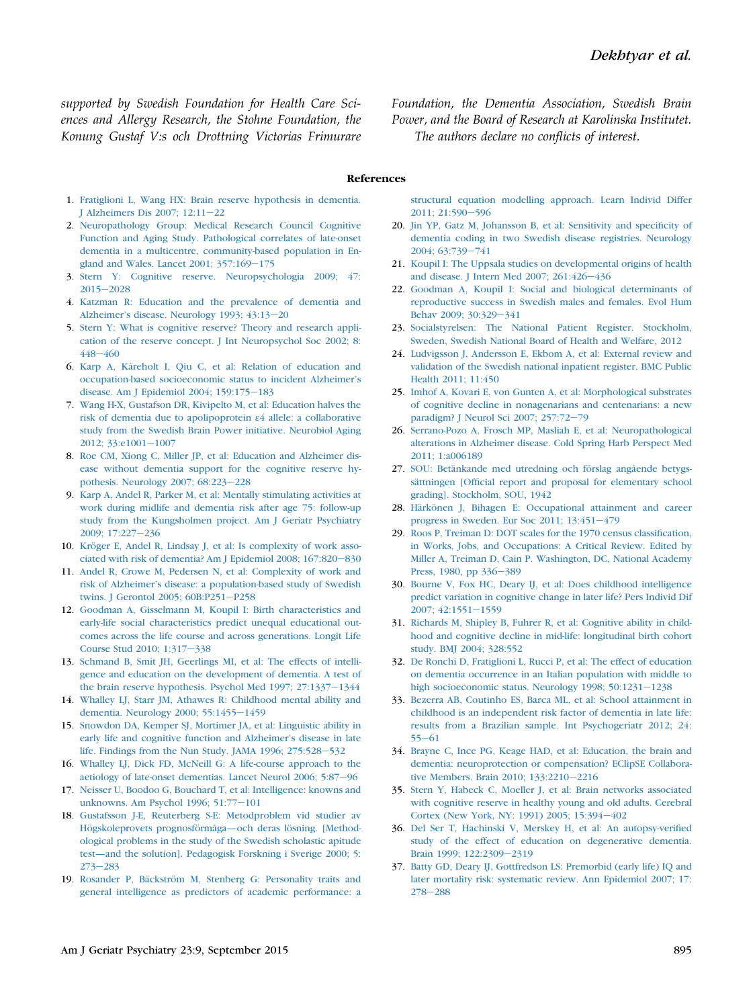<span id="page-10-0"></span>supported by Swedish Foundation for Health Care Sciences and Allergy Research, the Stohne Foundation, the Konung Gustaf V:s och Drottning Victorias Frimurare Foundation, the Dementia Association, Swedish Brain Power, and the Board of Research at Karolinska Institutet. The authors declare no conflicts of interest.

#### References

- 1. [Fratiglioni L, Wang HX: Brain reserve hypothesis in dementia.](http://refhub.elsevier.com/S1064-7481(15)00082-2/sref1) [J Alzheimers Dis 2007; 12:11](http://refhub.elsevier.com/S1064-7481(15)00082-2/sref1)-[22](http://refhub.elsevier.com/S1064-7481(15)00082-2/sref1)
- 2. [Neuropathology Group: Medical Research Council Cognitive](http://refhub.elsevier.com/S1064-7481(15)00082-2/sref2) [Function and Aging Study. Pathological correlates of late-onset](http://refhub.elsevier.com/S1064-7481(15)00082-2/sref2) [dementia in a multicentre, community-based population in En](http://refhub.elsevier.com/S1064-7481(15)00082-2/sref2)[gland and Wales. Lancet 2001; 357:169](http://refhub.elsevier.com/S1064-7481(15)00082-2/sref2)-[175](http://refhub.elsevier.com/S1064-7481(15)00082-2/sref2)
- 3. [Stern Y: Cognitive reserve. Neuropsychologia 2009; 47:](http://refhub.elsevier.com/S1064-7481(15)00082-2/sref3) [2015](http://refhub.elsevier.com/S1064-7481(15)00082-2/sref3)-[2028](http://refhub.elsevier.com/S1064-7481(15)00082-2/sref3)
- 4. [Katzman R: Education and the prevalence of dementia and](http://refhub.elsevier.com/S1064-7481(15)00082-2/sref4) Alzheimer'[s disease. Neurology 1993; 43:13](http://refhub.elsevier.com/S1064-7481(15)00082-2/sref4)-[20](http://refhub.elsevier.com/S1064-7481(15)00082-2/sref4)
- 5. [Stern Y: What is cognitive reserve? Theory and research appli](http://refhub.elsevier.com/S1064-7481(15)00082-2/sref5)[cation of the reserve concept. J Int Neuropsychol Soc 2002; 8:](http://refhub.elsevier.com/S1064-7481(15)00082-2/sref5) [448](http://refhub.elsevier.com/S1064-7481(15)00082-2/sref5)-[460](http://refhub.elsevier.com/S1064-7481(15)00082-2/sref5)
- 6. [Karp A, Kåreholt I, Qiu C, et al: Relation of education and](http://refhub.elsevier.com/S1064-7481(15)00082-2/sref6) [occupation-based socioeconomic status to incident Alzheimer](http://refhub.elsevier.com/S1064-7481(15)00082-2/sref6)'s [disease. Am J Epidemiol 2004; 159:175](http://refhub.elsevier.com/S1064-7481(15)00082-2/sref6)-[183](http://refhub.elsevier.com/S1064-7481(15)00082-2/sref6)
- 7. [Wang H-X, Gustafson DR, Kivipelto M, et al: Education halves the](http://refhub.elsevier.com/S1064-7481(15)00082-2/sref7) [risk of dementia due to apolipoprotein](http://refhub.elsevier.com/S1064-7481(15)00082-2/sref7) ε[4 allele: a collaborative](http://refhub.elsevier.com/S1064-7481(15)00082-2/sref7) [study from the Swedish Brain Power initiative. Neurobiol Aging](http://refhub.elsevier.com/S1064-7481(15)00082-2/sref7) [2012; 33:e1001](http://refhub.elsevier.com/S1064-7481(15)00082-2/sref7)-[1007](http://refhub.elsevier.com/S1064-7481(15)00082-2/sref7)
- 8. [Roe CM, Xiong C, Miller JP, et al: Education and Alzheimer dis](http://refhub.elsevier.com/S1064-7481(15)00082-2/sref8)[ease without dementia support for the cognitive reserve hy](http://refhub.elsevier.com/S1064-7481(15)00082-2/sref8)[pothesis. Neurology 2007; 68:223](http://refhub.elsevier.com/S1064-7481(15)00082-2/sref8)-[228](http://refhub.elsevier.com/S1064-7481(15)00082-2/sref8)
- 9. [Karp A, Andel R, Parker M, et al: Mentally stimulating activities at](http://refhub.elsevier.com/S1064-7481(15)00082-2/sref9) [work during midlife and dementia risk after age 75: follow-up](http://refhub.elsevier.com/S1064-7481(15)00082-2/sref9) [study from the Kungsholmen project. Am J Geriatr Psychiatry](http://refhub.elsevier.com/S1064-7481(15)00082-2/sref9) [2009; 17:227](http://refhub.elsevier.com/S1064-7481(15)00082-2/sref9)-[236](http://refhub.elsevier.com/S1064-7481(15)00082-2/sref9)
- 10. [Kröger E, Andel R, Lindsay J, et al: Is complexity of work asso](http://refhub.elsevier.com/S1064-7481(15)00082-2/sref10)ciated with risk of dementia? Am J Epidemiol 2008;  $167:820-830$  $167:820-830$
- 11. [Andel R, Crowe M, Pedersen N, et al: Complexity of work and](http://refhub.elsevier.com/S1064-7481(15)00082-2/sref11) risk of Alzheimer'[s disease: a population-based study of Swedish](http://refhub.elsevier.com/S1064-7481(15)00082-2/sref11) [twins. J Gerontol 2005; 60B:P251](http://refhub.elsevier.com/S1064-7481(15)00082-2/sref11)-[P258](http://refhub.elsevier.com/S1064-7481(15)00082-2/sref11)
- 12. [Goodman A, Gisselmann M, Koupil I: Birth characteristics and](http://refhub.elsevier.com/S1064-7481(15)00082-2/sref12) [early-life social characteristics predict unequal educational out](http://refhub.elsevier.com/S1064-7481(15)00082-2/sref12)[comes across the life course and across generations. Longit Life](http://refhub.elsevier.com/S1064-7481(15)00082-2/sref12) [Course Stud 2010; 1:317](http://refhub.elsevier.com/S1064-7481(15)00082-2/sref12)-[338](http://refhub.elsevier.com/S1064-7481(15)00082-2/sref12)
- 13. [Schmand B, Smit JH, Geerlings MI, et al: The effects of intelli](http://refhub.elsevier.com/S1064-7481(15)00082-2/sref13)[gence and education on the development of dementia. A test of](http://refhub.elsevier.com/S1064-7481(15)00082-2/sref13) [the brain reserve hypothesis. Psychol Med 1997; 27:1337](http://refhub.elsevier.com/S1064-7481(15)00082-2/sref13)-[1344](http://refhub.elsevier.com/S1064-7481(15)00082-2/sref13)
- 14. [Whalley LJ, Starr JM, Athawes R: Childhood mental ability and](http://refhub.elsevier.com/S1064-7481(15)00082-2/sref14) [dementia. Neurology 2000; 55:1455](http://refhub.elsevier.com/S1064-7481(15)00082-2/sref14)-[1459](http://refhub.elsevier.com/S1064-7481(15)00082-2/sref14)
- 15. [Snowdon DA, Kemper SJ, Mortimer JA, et al: Linguistic ability in](http://refhub.elsevier.com/S1064-7481(15)00082-2/sref15) [early life and cognitive function and Alzheimer](http://refhub.elsevier.com/S1064-7481(15)00082-2/sref15)'s disease in late life. Findings from the Nun Study. JAMA 1996;  $275:528-532$  $275:528-532$
- 16. [Whalley LJ, Dick FD, McNeill G: A life-course approach to the](http://refhub.elsevier.com/S1064-7481(15)00082-2/sref16) [aetiology of late-onset dementias. Lancet Neurol 2006; 5:87](http://refhub.elsevier.com/S1064-7481(15)00082-2/sref16)-[96](http://refhub.elsevier.com/S1064-7481(15)00082-2/sref16)
- 17. [Neisser U, Boodoo G, Bouchard T, et al: Intelligence: knowns and](http://refhub.elsevier.com/S1064-7481(15)00082-2/sref17) unknowns. Am Psychol 1996;  $51:77-101$  $51:77-101$
- 18. [Gustafsson J-E, Reuterberg S-E: Metodproblem vid studier av](http://refhub.elsevier.com/S1064-7481(15)00082-2/sref18) [Högskoleprovets prognosförmåga](http://refhub.elsevier.com/S1064-7481(15)00082-2/sref18)—och deras lösning. [Method[ological problems in the study of the Swedish scholastic apitude](http://refhub.elsevier.com/S1064-7481(15)00082-2/sref18) test—[and the solution\]. Pedagogisk Forskning i Sverige 2000; 5:](http://refhub.elsevier.com/S1064-7481(15)00082-2/sref18)  $273 - 283$  $273 - 283$  $273 - 283$
- 19. [Rosander P, Bäckström M, Stenberg G: Personality traits and](http://refhub.elsevier.com/S1064-7481(15)00082-2/sref19) [general intelligence as predictors of academic performance: a](http://refhub.elsevier.com/S1064-7481(15)00082-2/sref19)

[structural equation modelling approach. Learn Individ Differ](http://refhub.elsevier.com/S1064-7481(15)00082-2/sref19) 2011: 21:590-[596](http://refhub.elsevier.com/S1064-7481(15)00082-2/sref19)

- 20. [Jin YP, Gatz M, Johansson B, et al: Sensitivity and speci](http://refhub.elsevier.com/S1064-7481(15)00082-2/sref20)ficity of [dementia coding in two Swedish disease registries. Neurology](http://refhub.elsevier.com/S1064-7481(15)00082-2/sref20) [2004; 63:739](http://refhub.elsevier.com/S1064-7481(15)00082-2/sref20)-[741](http://refhub.elsevier.com/S1064-7481(15)00082-2/sref20)
- 21. [Koupil I: The Uppsala studies on developmental origins of health](http://refhub.elsevier.com/S1064-7481(15)00082-2/sref21) and disease. J Intern Med 2007;  $261:426-436$  $261:426-436$
- 22. [Goodman A, Koupil I: Social and biological determinants of](http://refhub.elsevier.com/S1064-7481(15)00082-2/sref22) [reproductive success in Swedish males and females. Evol Hum](http://refhub.elsevier.com/S1064-7481(15)00082-2/sref22) [Behav 2009; 30:329](http://refhub.elsevier.com/S1064-7481(15)00082-2/sref22)-[341](http://refhub.elsevier.com/S1064-7481(15)00082-2/sref22)
- 23. [Socialstyrelsen: The National Patient Register. Stockholm,](http://refhub.elsevier.com/S1064-7481(15)00082-2/sref23cdk) [Sweden, Swedish National Board of Health and Welfare, 2012](http://refhub.elsevier.com/S1064-7481(15)00082-2/sref23cdk)
- 24. [Ludvigsson J, Andersson E, Ekbom A, et al: External review and](http://refhub.elsevier.com/S1064-7481(15)00082-2/sref23) [validation of the Swedish national inpatient register. BMC Public](http://refhub.elsevier.com/S1064-7481(15)00082-2/sref23) [Health 2011; 11:450](http://refhub.elsevier.com/S1064-7481(15)00082-2/sref23)
- 25. [Imhof A, Kovari E, von Gunten A, et al: Morphological substrates](http://refhub.elsevier.com/S1064-7481(15)00082-2/sref24) [of cognitive decline in nonagenarians and centenarians: a new](http://refhub.elsevier.com/S1064-7481(15)00082-2/sref24) [paradigm? J Neurol Sci 2007; 257:72](http://refhub.elsevier.com/S1064-7481(15)00082-2/sref24)-[79](http://refhub.elsevier.com/S1064-7481(15)00082-2/sref24)
- 26. [Serrano-Pozo A, Frosch MP, Masliah E, et al: Neuropathological](http://refhub.elsevier.com/S1064-7481(15)00082-2/sref25) [alterations in Alzheimer disease. Cold Spring Harb Perspect Med](http://refhub.elsevier.com/S1064-7481(15)00082-2/sref25) [2011; 1:a006189](http://refhub.elsevier.com/S1064-7481(15)00082-2/sref25)
- 27. [SOU: Betänkande med utredning och förslag angående betygs](http://refhub.elsevier.com/S1064-7481(15)00082-2/sref26)sättningen [Offi[cial report and proposal for elementary school](http://refhub.elsevier.com/S1064-7481(15)00082-2/sref26) [grading\]. Stockholm, SOU, 1942](http://refhub.elsevier.com/S1064-7481(15)00082-2/sref26)
- 28. [Härkönen J, Bihagen E: Occupational attainment and career](http://refhub.elsevier.com/S1064-7481(15)00082-2/sref27) progress in Sweden. Eur Soc  $2011$ ;  $13:451-479$  $13:451-479$
- 29. [Roos P, Treiman D: DOT scales for the 1970 census classi](http://refhub.elsevier.com/S1064-7481(15)00082-2/sref28)fication, [in Works, Jobs, and Occupations: A Critical Review. Edited by](http://refhub.elsevier.com/S1064-7481(15)00082-2/sref28) [Miller A, Treiman D, Cain P. Washington, DC, National Academy](http://refhub.elsevier.com/S1064-7481(15)00082-2/sref28) [Press, 1980, pp 336](http://refhub.elsevier.com/S1064-7481(15)00082-2/sref28)-[389](http://refhub.elsevier.com/S1064-7481(15)00082-2/sref28)
- 30. [Bourne V, Fox HC, Deary IJ, et al: Does childhood intelligence](http://refhub.elsevier.com/S1064-7481(15)00082-2/sref29) [predict variation in cognitive change in later life? Pers Individ Dif](http://refhub.elsevier.com/S1064-7481(15)00082-2/sref29)  $2007:42:1551-1559$  $2007:42:1551-1559$
- 31. [Richards M, Shipley B, Fuhrer R, et al: Cognitive ability in child](http://refhub.elsevier.com/S1064-7481(15)00082-2/sref30)[hood and cognitive decline in mid-life: longitudinal birth cohort](http://refhub.elsevier.com/S1064-7481(15)00082-2/sref30) [study. BMJ 2004; 328:552](http://refhub.elsevier.com/S1064-7481(15)00082-2/sref30)
- 32. [De Ronchi D, Fratiglioni L, Rucci P, et al: The effect of education](http://refhub.elsevier.com/S1064-7481(15)00082-2/sref31) [on dementia occurrence in an Italian population with middle to](http://refhub.elsevier.com/S1064-7481(15)00082-2/sref31) [high socioeconomic status. Neurology 1998; 50:1231](http://refhub.elsevier.com/S1064-7481(15)00082-2/sref31)-[1238](http://refhub.elsevier.com/S1064-7481(15)00082-2/sref31)
- 33. [Bezerra AB, Coutinho ES, Barca ML, et al: School attainment in](http://refhub.elsevier.com/S1064-7481(15)00082-2/sref32) [childhood is an independent risk factor of dementia in late life:](http://refhub.elsevier.com/S1064-7481(15)00082-2/sref32) [results from a Brazilian sample. Int Psychogeriatr 2012; 24:](http://refhub.elsevier.com/S1064-7481(15)00082-2/sref32)  $55 - 61$  $55 - 61$  $55 - 61$
- 34. [Brayne C, Ince PG, Keage HAD, et al: Education, the brain and](http://refhub.elsevier.com/S1064-7481(15)00082-2/sref33) [dementia: neuroprotection or compensation? EClipSE Collabora](http://refhub.elsevier.com/S1064-7481(15)00082-2/sref33)[tive Members. Brain 2010; 133:2210](http://refhub.elsevier.com/S1064-7481(15)00082-2/sref33)-[2216](http://refhub.elsevier.com/S1064-7481(15)00082-2/sref33)
- 35. [Stern Y, Habeck C, Moeller J, et al: Brain networks associated](http://refhub.elsevier.com/S1064-7481(15)00082-2/sref34) [with cognitive reserve in healthy young and old adults. Cerebral](http://refhub.elsevier.com/S1064-7481(15)00082-2/sref34) [Cortex \(New York, NY: 1991\) 2005; 15:394](http://refhub.elsevier.com/S1064-7481(15)00082-2/sref34)-[402](http://refhub.elsevier.com/S1064-7481(15)00082-2/sref34)
- 36. [Del Ser T, Hachinski V, Merskey H, et al: An autopsy-veri](http://refhub.elsevier.com/S1064-7481(15)00082-2/sref35)fied [study of the effect of education on degenerative dementia.](http://refhub.elsevier.com/S1064-7481(15)00082-2/sref35) [Brain 1999; 122:2309](http://refhub.elsevier.com/S1064-7481(15)00082-2/sref35)-[2319](http://refhub.elsevier.com/S1064-7481(15)00082-2/sref35)
- 37. [Batty GD, Deary IJ, Gottfredson LS: Premorbid \(early life\) IQ and](http://refhub.elsevier.com/S1064-7481(15)00082-2/sref36) [later mortality risk: systematic review. Ann Epidemiol 2007; 17:](http://refhub.elsevier.com/S1064-7481(15)00082-2/sref36)  $278 - 288$  $278 - 288$  $278 - 288$